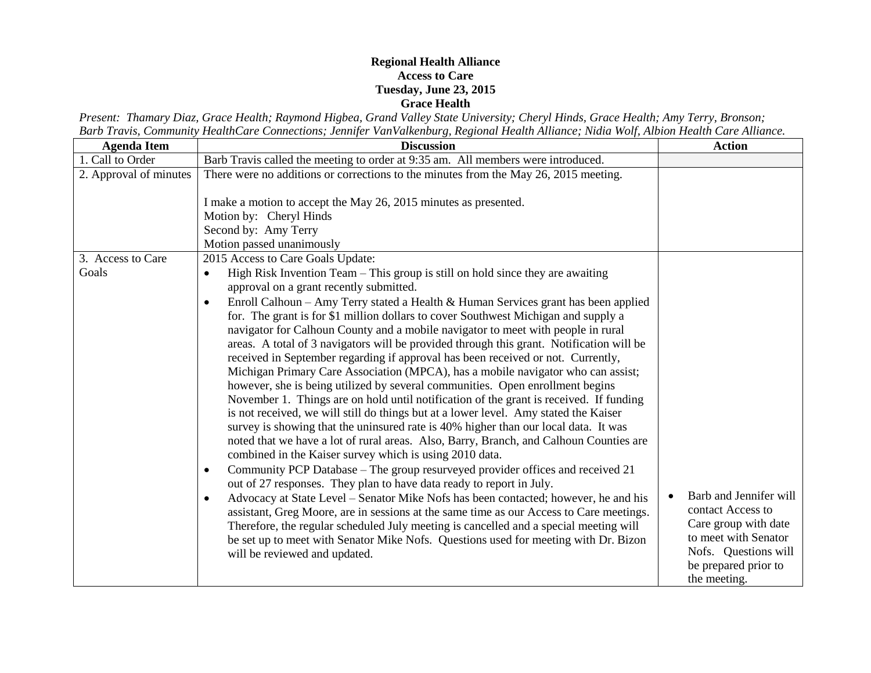## **Regional Health Alliance Access to Care Tuesday, June 23, 2015 Grace Health**

*Present: Thamary Diaz, Grace Health; Raymond Higbea, Grand Valley State University; Cheryl Hinds, Grace Health; Amy Terry, Bronson; Barb Travis, Community HealthCare Connections; Jennifer VanValkenburg, Regional Health Alliance; Nidia Wolf, Albion Health Care Alliance.*

| <b>Agenda Item</b>         | <b>Discussion</b>                                                                                                                                                                                                                                                                                                                                                                                                                                                                                                                                                                                                                                                                                                                                                                                                                                                                                                                                                                                                                                                                                                                                                                                                                                                                                                                                                                                                                                                                                                                                                                                                                                                                                                                                                                                        | <b>Action</b>                                                                                                                                               |
|----------------------------|----------------------------------------------------------------------------------------------------------------------------------------------------------------------------------------------------------------------------------------------------------------------------------------------------------------------------------------------------------------------------------------------------------------------------------------------------------------------------------------------------------------------------------------------------------------------------------------------------------------------------------------------------------------------------------------------------------------------------------------------------------------------------------------------------------------------------------------------------------------------------------------------------------------------------------------------------------------------------------------------------------------------------------------------------------------------------------------------------------------------------------------------------------------------------------------------------------------------------------------------------------------------------------------------------------------------------------------------------------------------------------------------------------------------------------------------------------------------------------------------------------------------------------------------------------------------------------------------------------------------------------------------------------------------------------------------------------------------------------------------------------------------------------------------------------|-------------------------------------------------------------------------------------------------------------------------------------------------------------|
| 1. Call to Order           | Barb Travis called the meeting to order at 9:35 am. All members were introduced.                                                                                                                                                                                                                                                                                                                                                                                                                                                                                                                                                                                                                                                                                                                                                                                                                                                                                                                                                                                                                                                                                                                                                                                                                                                                                                                                                                                                                                                                                                                                                                                                                                                                                                                         |                                                                                                                                                             |
| 2. Approval of minutes     | There were no additions or corrections to the minutes from the May 26, 2015 meeting.<br>I make a motion to accept the May 26, 2015 minutes as presented.<br>Motion by: Cheryl Hinds<br>Second by: Amy Terry<br>Motion passed unanimously                                                                                                                                                                                                                                                                                                                                                                                                                                                                                                                                                                                                                                                                                                                                                                                                                                                                                                                                                                                                                                                                                                                                                                                                                                                                                                                                                                                                                                                                                                                                                                 |                                                                                                                                                             |
| 3. Access to Care<br>Goals | 2015 Access to Care Goals Update:<br>High Risk Invention Team - This group is still on hold since they are awaiting<br>approval on a grant recently submitted.<br>Enroll Calhoun - Amy Terry stated a Health & Human Services grant has been applied<br>$\bullet$<br>for. The grant is for \$1 million dollars to cover Southwest Michigan and supply a<br>navigator for Calhoun County and a mobile navigator to meet with people in rural<br>areas. A total of 3 navigators will be provided through this grant. Notification will be<br>received in September regarding if approval has been received or not. Currently,<br>Michigan Primary Care Association (MPCA), has a mobile navigator who can assist;<br>however, she is being utilized by several communities. Open enrollment begins<br>November 1. Things are on hold until notification of the grant is received. If funding<br>is not received, we will still do things but at a lower level. Amy stated the Kaiser<br>survey is showing that the uninsured rate is 40% higher than our local data. It was<br>noted that we have a lot of rural areas. Also, Barry, Branch, and Calhoun Counties are<br>combined in the Kaiser survey which is using 2010 data.<br>Community PCP Database – The group resurveyed provider offices and received 21<br>$\bullet$<br>out of 27 responses. They plan to have data ready to report in July.<br>Advocacy at State Level – Senator Mike Nofs has been contacted; however, he and his<br>assistant, Greg Moore, are in sessions at the same time as our Access to Care meetings.<br>Therefore, the regular scheduled July meeting is cancelled and a special meeting will<br>be set up to meet with Senator Mike Nofs. Questions used for meeting with Dr. Bizon<br>will be reviewed and updated. | Barb and Jennifer will<br>contact Access to<br>Care group with date<br>to meet with Senator<br>Nofs. Questions will<br>be prepared prior to<br>the meeting. |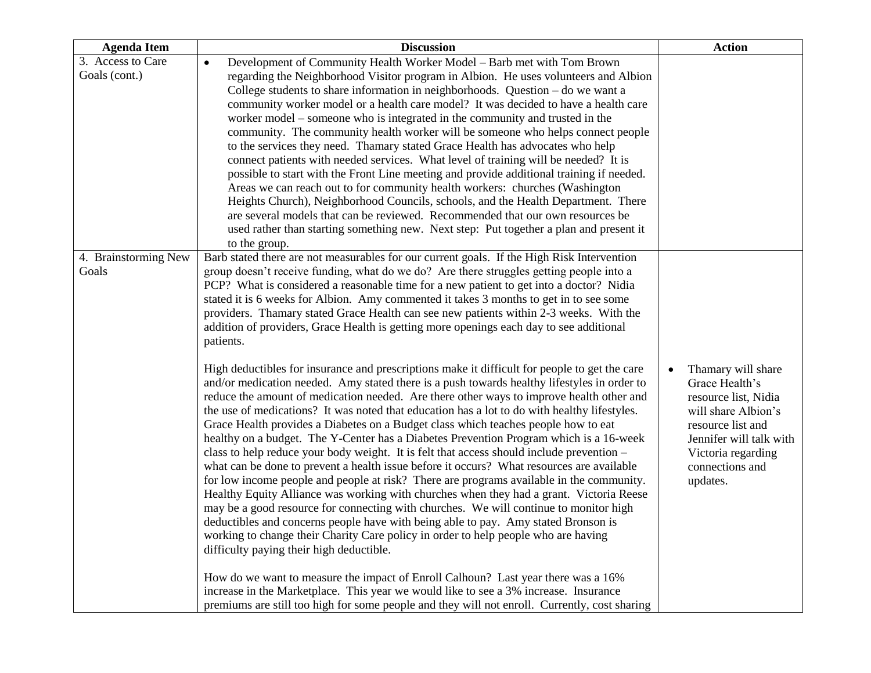| <b>Agenda Item</b>            | <b>Discussion</b>                                                                                                                                                                  | <b>Action</b>           |
|-------------------------------|------------------------------------------------------------------------------------------------------------------------------------------------------------------------------------|-------------------------|
| 3. Access to Care             | Development of Community Health Worker Model – Barb met with Tom Brown<br>$\bullet$                                                                                                |                         |
| Goals (cont.)                 | regarding the Neighborhood Visitor program in Albion. He uses volunteers and Albion                                                                                                |                         |
|                               | College students to share information in neighborhoods. Question $-$ do we want a                                                                                                  |                         |
|                               | community worker model or a health care model? It was decided to have a health care                                                                                                |                         |
|                               | worker model – someone who is integrated in the community and trusted in the                                                                                                       |                         |
|                               | community. The community health worker will be someone who helps connect people                                                                                                    |                         |
|                               | to the services they need. Thamary stated Grace Health has advocates who help                                                                                                      |                         |
|                               | connect patients with needed services. What level of training will be needed? It is                                                                                                |                         |
|                               | possible to start with the Front Line meeting and provide additional training if needed.                                                                                           |                         |
|                               | Areas we can reach out to for community health workers: churches (Washington                                                                                                       |                         |
|                               | Heights Church), Neighborhood Councils, schools, and the Health Department. There                                                                                                  |                         |
|                               | are several models that can be reviewed. Recommended that our own resources be                                                                                                     |                         |
|                               | used rather than starting something new. Next step: Put together a plan and present it                                                                                             |                         |
|                               | to the group.                                                                                                                                                                      |                         |
| 4. Brainstorming New<br>Goals | Barb stated there are not measurables for our current goals. If the High Risk Intervention                                                                                         |                         |
|                               | group doesn't receive funding, what do we do? Are there struggles getting people into a<br>PCP? What is considered a reasonable time for a new patient to get into a doctor? Nidia |                         |
|                               | stated it is 6 weeks for Albion. Amy commented it takes 3 months to get in to see some                                                                                             |                         |
|                               | providers. Thamary stated Grace Health can see new patients within 2-3 weeks. With the                                                                                             |                         |
|                               | addition of providers, Grace Health is getting more openings each day to see additional                                                                                            |                         |
|                               | patients.                                                                                                                                                                          |                         |
|                               |                                                                                                                                                                                    |                         |
|                               | High deductibles for insurance and prescriptions make it difficult for people to get the care                                                                                      | Thamary will share      |
|                               | and/or medication needed. Amy stated there is a push towards healthy lifestyles in order to                                                                                        | Grace Health's          |
|                               | reduce the amount of medication needed. Are there other ways to improve health other and                                                                                           | resource list, Nidia    |
|                               | the use of medications? It was noted that education has a lot to do with healthy lifestyles.                                                                                       | will share Albion's     |
|                               | Grace Health provides a Diabetes on a Budget class which teaches people how to eat                                                                                                 | resource list and       |
|                               | healthy on a budget. The Y-Center has a Diabetes Prevention Program which is a 16-week                                                                                             | Jennifer will talk with |
|                               | class to help reduce your body weight. It is felt that access should include prevention -                                                                                          | Victoria regarding      |
|                               | what can be done to prevent a health issue before it occurs? What resources are available                                                                                          | connections and         |
|                               | for low income people and people at risk? There are programs available in the community.                                                                                           | updates.                |
|                               | Healthy Equity Alliance was working with churches when they had a grant. Victoria Reese                                                                                            |                         |
|                               | may be a good resource for connecting with churches. We will continue to monitor high                                                                                              |                         |
|                               | deductibles and concerns people have with being able to pay. Amy stated Bronson is                                                                                                 |                         |
|                               | working to change their Charity Care policy in order to help people who are having                                                                                                 |                         |
|                               | difficulty paying their high deductible.                                                                                                                                           |                         |
|                               | How do we want to measure the impact of Enroll Calhoun? Last year there was a 16%                                                                                                  |                         |
|                               | increase in the Marketplace. This year we would like to see a 3% increase. Insurance                                                                                               |                         |
|                               | premiums are still too high for some people and they will not enroll. Currently, cost sharing                                                                                      |                         |